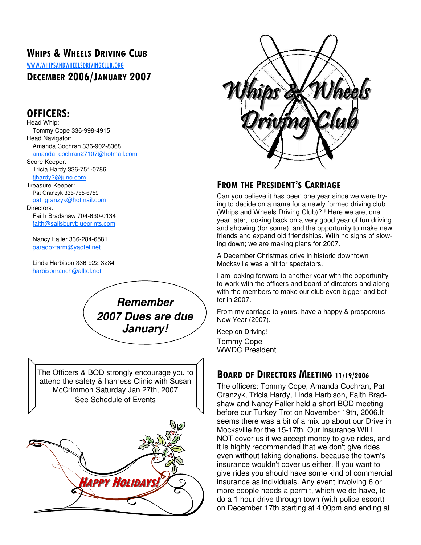## WHIPS & WHEELS DRIVING CLUB

WWW.WHIPSANDWHEELSDRIVINGCLUB.ORG

## DECEMBER 2006/JANUARY 2007

## OFFICERS:

Head Whip: Tommy Cope 336-998-4915 Head Navigator: Amanda Cochran 336-902-8368 amanda\_cochran27107@hotmail.com Score Keeper: Tricia Hardy 336-751-0786 tjhardy2@juno.com Treasure Keeper: Pat Granzyk 336-765-6759 pat\_granzyk@hotmail.com Directors: Faith Bradshaw 704-630-0134 faith@salisburyblueprints.com

 Nancy Faller 336-284-6581 paradoxfarm@yadtel.net

 Linda Harbison 336-922-3234 harbisonranch@alltel.net



The Officers & BOD strongly encourage you to attend the safety & harness Clinic with Susan McCrimmon Saturday Jan 27th, 2007 See Schedule of Events





## FROM THE PRESIDENT'S CARRIAGE

Can you believe it has been one year since we were trying to decide on a name for a newly formed driving club (Whips and Wheels Driving Club)?!! Here we are, one year later, looking back on a very good year of fun driving and showing (for some), and the opportunity to make new friends and expand old friendships. With no signs of slowing down; we are making plans for 2007.

A December Christmas drive in historic downtown Mocksville was a hit for spectators.

I am looking forward to another year with the opportunity to work with the officers and board of directors and along with the members to make our club even bigger and better in 2007.

From my carriage to yours, have a happy & prosperous New Year (2007).

Keep on Driving! Tommy Cope WWDC President

## BOARD OF DIRECTORS MEETING 11/19/2006

The officers: Tommy Cope, Amanda Cochran, Pat Granzyk, Tricia Hardy, Linda Harbison, Faith Bradshaw and Nancy Faller held a short BOD meeting before our Turkey Trot on November 19th, 2006.It seems there was a bit of a mix up about our Drive in Mocksville for the 15-17th. Our Insurance WILL NOT cover us if we accept money to give rides, and it is highly recommended that we don't give rides even without taking donations, because the town's insurance wouldn't cover us either. If you want to give rides you should have some kind of commercial insurance as individuals. Any event involving 6 or more people needs a permit, which we do have, to do a 1 hour drive through town (with police escort) on December 17th starting at 4:00pm and ending at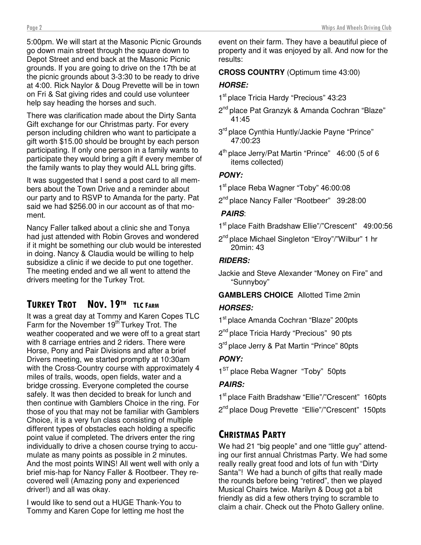5:00pm. We will start at the Masonic Picnic Grounds go down main street through the square down to Depot Street and end back at the Masonic Picnic grounds. If you are going to drive on the 17th be at the picnic grounds about 3-3:30 to be ready to drive at 4:00. Rick Naylor & Doug Prevette will be in town on Fri & Sat giving rides and could use volunteer help say heading the horses and such.

There was clarification made about the Dirty Santa Gift exchange for our Christmas party. For every person including children who want to participate a gift worth \$15.00 should be brought by each person participating. If only one person in a family wants to participate they would bring a gift if every member of the family wants to play they would ALL bring gifts.

It was suggested that I send a post card to all members about the Town Drive and a reminder about our party and to RSVP to Amanda for the party. Pat said we had \$256.00 in our account as of that moment.

Nancy Faller talked about a clinic she and Tonya had just attended with Robin Groves and wondered if it might be something our club would be interested in doing. Nancy & Claudia would be willing to help subsidize a clinic if we decide to put one together. The meeting ended and we all went to attend the drivers meeting for the Turkey Trot.

## TURKEY TROT NOV. 19TH TLC FARM

It was a great day at Tommy and Karen Copes TLC Farm for the November 19<sup>th</sup> Turkey Trot. The weather cooperated and we were off to a great start with 8 carriage entries and 2 riders. There were Horse, Pony and Pair Divisions and after a brief Drivers meeting, we started promptly at 10:30am with the Cross-Country course with approximately 4 miles of trails, woods, open fields, water and a bridge crossing. Everyone completed the course safely. It was then decided to break for lunch and then continue with Gamblers Choice in the ring. For those of you that may not be familiar with Gamblers Choice, it is a very fun class consisting of multiple different types of obstacles each holding a specific point value if completed. The drivers enter the ring individually to drive a chosen course trying to accumulate as many points as possible in 2 minutes. And the most points WINS! All went well with only a brief mis-hap for Nancy Faller & Rootbeer. They recovered well (Amazing pony and experienced driver!) and all was okay.

I would like to send out a HUGE Thank-You to Tommy and Karen Cope for letting me host the event on their farm. They have a beautiful piece of property and it was enjoyed by all. And now for the results:

#### **CROSS COUNTRY** (Optimum time 43:00)

#### **HORSE:**

- 1<sup>st</sup> place Tricia Hardy "Precious" 43:23
- 2<sup>nd</sup> place Pat Granzyk & Amanda Cochran "Blaze" 41:45
- 3<sup>rd</sup> place Cynthia Huntly/Jackie Payne "Prince" 47:00:23
- 4 th place Jerry/Pat Martin "Prince" 46:00 (5 of 6 items collected)

#### **PONY:**

- 1 st place Reba Wagner "Toby" 46:00:08
- 2<sup>nd</sup> place Nancy Faller "Rootbeer" 39:28:00

#### **PAIRS**:

- 1 st place Faith Bradshaw Ellie"/"Crescent" 49:00:56
- 2<sup>nd</sup> place Michael Singleton "Elroy"/"Wilbur" 1 hr 20min: 43

#### **RIDERS:**

Jackie and Steve Alexander "Money on Fire" and "Sunnyboy"

# **GAMBLERS CHOICE** Allotted Time 2min

#### **HORSES:**

- 1<sup>st</sup> place Amanda Cochran "Blaze" 200pts
- 2<sup>nd</sup> place Tricia Hardy "Precious" 90 pts
- 3<sup>rd</sup> place Jerry & Pat Martin "Prince" 80pts

### **PONY:**

1<sup>ST</sup> place Reba Wagner "Toby" 50pts

### **PAIRS:**

- 1<sup>st</sup> place Faith Bradshaw "Ellie"/"Crescent" 160pts
- 2<sup>nd</sup> place Doug Prevette "Ellie"/"Crescent" 150pts

## CHRISTMAS PARTY

We had 21 "big people" and one "little guy" attending our first annual Christmas Party. We had some really really great food and lots of fun with "Dirty Santa"! We had a bunch of gifts that really made the rounds before being "retired", then we played Musical Chairs twice. Marilyn & Doug got a bit friendly as did a few others trying to scramble to claim a chair. Check out the Photo Gallery online.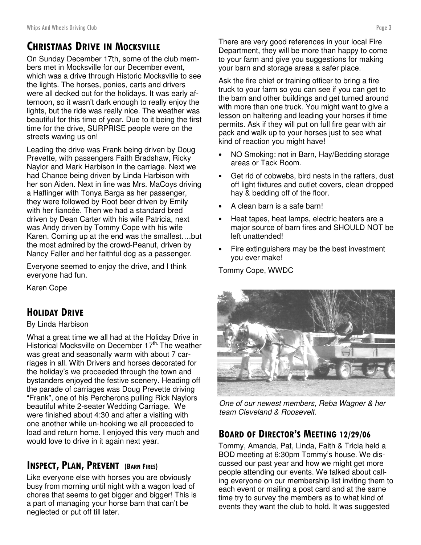# CHRISTMAS DRIVE IN MOCKSVILLE

On Sunday December 17th, some of the club members met in Mocksville for our December event, which was a drive through Historic Mocksville to see the lights. The horses, ponies, carts and drivers were all decked out for the holidays. It was early afternoon, so it wasn't dark enough to really enjoy the lights, but the ride was really nice. The weather was beautiful for this time of year. Due to it being the first time for the drive, SURPRISE people were on the streets waving us on!

Leading the drive was Frank being driven by Doug Prevette, with passengers Faith Bradshaw, Ricky Naylor and Mark Harbison in the carriage. Next we had Chance being driven by Linda Harbison with her son Aiden. Next in line was Mrs. MaCoys driving a Haflinger with Tonya Barga as her passenger, they were followed by Root beer driven by Emily with her fiancée. Then we had a standard bred driven by Dean Carter with his wife Patricia, next was Andy driven by Tommy Cope with his wife Karen. Coming up at the end was the smallest….but the most admired by the crowd-Peanut, driven by Nancy Faller and her faithful dog as a passenger.

Everyone seemed to enjoy the drive, and I think everyone had fun.

Karen Cope

## HOLIDAY DRIVE

#### By Linda Harbison

What a great time we all had at the Holiday Drive in Historical Mocksville on December 17<sup>th.</sup> The weather was great and seasonally warm with about 7 carriages in all. With Drivers and horses decorated for the holiday's we proceeded through the town and bystanders enjoyed the festive scenery. Heading off the parade of carriages was Doug Prevette driving "Frank", one of his Percherons pulling Rick Naylors beautiful white 2-seater Wedding Carriage. We were finished about 4:30 and after a visiting with one another while un-hooking we all proceeded to load and return home. I enjoyed this very much and would love to drive in it again next year.

## INSPECT, PLAN, PREVENT (BARN FIRES)

Like everyone else with horses you are obviously busy from morning until night with a wagon load of chores that seems to get bigger and bigger! This is a part of managing your horse barn that can't be neglected or put off till later.

There are very good references in your local Fire Department, they will be more than happy to come to your farm and give you suggestions for making your barn and storage areas a safer place.

Ask the fire chief or training officer to bring a fire truck to your farm so you can see if you can get to the barn and other buildings and get turned around with more than one truck. You might want to give a lesson on haltering and leading your horses if time permits. Ask if they will put on full fire gear with air pack and walk up to your horses just to see what kind of reaction you might have!

- NO Smoking: not in Barn, Hay/Bedding storage areas or Tack Room.
- Get rid of cobwebs, bird nests in the rafters, dust off light fixtures and outlet covers, clean dropped hay & bedding off of the floor.
- A clean barn is a safe barn!
- Heat tapes, heat lamps, electric heaters are a major source of barn fires and SHOULD NOT be left unattended!
- Fire extinguishers may be the best investment you ever make!

Tommy Cope, WWDC



One of our newest members, Reba Wagner & her team Cleveland & Roosevelt.

## BOARD OF DIRECTOR'S MEETING 12/29/06

Tommy, Amanda, Pat, Linda, Faith & Tricia held a BOD meeting at 6:30pm Tommy's house. We discussed our past year and how we might get more people attending our events. We talked about calling everyone on our membership list inviting them to each event or mailing a post card and at the same time try to survey the members as to what kind of events they want the club to hold. It was suggested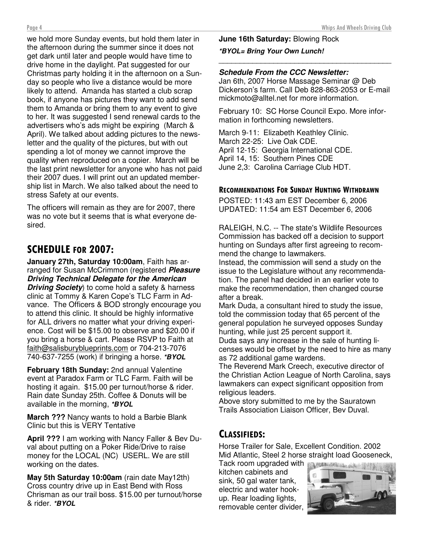we hold more Sunday events, but hold them later in the afternoon during the summer since it does not get dark until later and people would have time to drive home in the daylight. Pat suggested for our Christmas party holding it in the afternoon on a Sunday so people who live a distance would be more likely to attend. Amanda has started a club scrap book, if anyone has pictures they want to add send them to Amanda or bring them to any event to give to her. It was suggested I send renewal cards to the advertisers who's ads might be expiring (March & April). We talked about adding pictures to the newsletter and the quality of the pictures, but with out spending a lot of money we cannot improve the quality when reproduced on a copier. March will be the last print newsletter for anyone who has not paid their 2007 dues. I will print out an updated membership list in March. We also talked about the need to stress Safety at our events.

The officers will remain as they are for 2007, there was no vote but it seems that is what everyone desired.

# SCHEDULE FOR 2007:

**January 27th, Saturday 10:00am**, Faith has arranged for Susan McCrimmon (registered **Pleasure Driving Technical Delegate for the American Driving Society**) to come hold a safety & harness clinic at Tommy & Karen Cope's TLC Farm in Advance. The Officers & BOD strongly encourage you to attend this clinic. It should be highly informative for ALL drivers no matter what your driving experience. Cost will be \$15.00 to observe and \$20.00 if you bring a horse & cart. Please RSVP to Faith at faith@salisburyblueprints.com or 704-213-7076 740-637-7255 (work) if bringing a horse. **\*BYOL**

**February 18th Sunday:** 2nd annual Valentine event at Paradox Farm or TLC Farm. Faith will be hosting it again. \$15.00 per turnout/horse & rider. Rain date Sunday 25th. Coffee & Donuts will be available in the morning, **\*BYOL**

**March ???** Nancy wants to hold a Barbie Blank Clinic but this is VERY Tentative

**April ???** I am working with Nancy Faller & Bev Duval about putting on a Poker Ride/Drive to raise money for the LOCAL (NC) USERL. We are still working on the dates.

**May 5th Saturday 10:00am** (rain date May12th) Cross country drive up in East Bend with Ross Chrisman as our trail boss. \$15.00 per turnout/horse & rider. **\*BYOL**

## **June 16th Saturday:** Blowing Rock

#### **\*BYOL= Bring Your Own Lunch!** \_\_\_\_\_\_\_\_\_\_\_\_\_\_\_\_\_\_\_\_\_\_\_\_\_\_\_\_\_\_\_\_\_\_\_\_\_\_\_\_\_

#### **Schedule From the CCC Newsletter:**

Jan 6th, 2007 Horse Massage Seminar @ Deb Dickerson's farm. Call Deb 828-863-2053 or E-mail mickmoto@alltel.net for more information.

February 10: SC Horse Council Expo. More information in forthcoming newsletters.

March 9-11: Elizabeth Keathley Clinic. March 22-25: Live Oak CDE. April 12-15: Georgia International CDE. April 14, 15: Southern Pines CDE June 2,3: Carolina Carriage Club HDT.

#### RECOMMENDATIONS FOR SUNDAY HUNTING WITHDRAWN

POSTED: 11:43 am EST December 6, 2006 UPDATED: 11:54 am EST December 6, 2006

RALEIGH, N.C. -- The state's Wildlife Resources Commission has backed off a decision to support hunting on Sundays after first agreeing to recommend the change to lawmakers.

Instead, the commission will send a study on the issue to the Legislature without any recommendation. The panel had decided in an earlier vote to make the recommendation, then changed course after a break.

Mark Duda, a consultant hired to study the issue, told the commission today that 65 percent of the general population he surveyed opposes Sunday hunting, while just 25 percent support it. Duda says any increase in the sale of hunting licenses would be offset by the need to hire as many as 72 additional game wardens.

The Reverend Mark Creech, executive director of the Christian Action League of North Carolina, says lawmakers can expect significant opposition from religious leaders.

Above story submitted to me by the Sauratown Trails Association Liaison Officer, Bev Duval.

## CLASSIFIEDS:

Horse Trailer for Sale, Excellent Condition. 2002 Mid Atlantic, Steel 2 horse straight load Gooseneck,

Tack room upgraded with **the state of the state of the Taylor** kitchen cabinets and sink, 50 gal water tank, electric and water hookup. Rear loading lights, removable center divider,

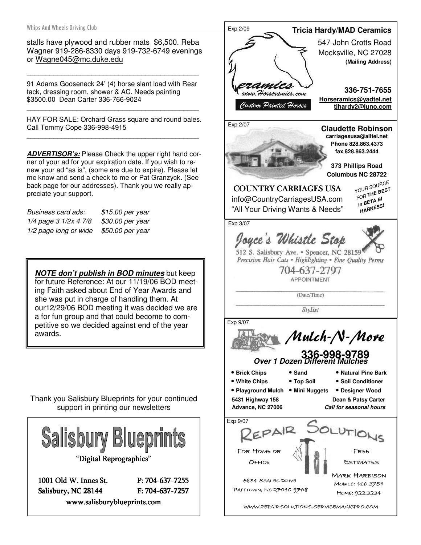stalls have plywood and rubber mats \$6,500. Reba Wagner 919-286-8330 days 919-732-6749 evenings or Wagne045@mc.duke.edu

91 Adams Gooseneck 24' (4) horse slant load with Rear tack, dressing room, shower & AC. Needs painting \$3500.00 Dean Carter 336-766-9024

\_\_\_\_\_\_\_\_\_\_\_\_\_\_\_\_\_\_\_\_\_\_\_\_\_\_\_\_\_\_\_\_\_\_\_\_\_\_\_\_\_\_\_\_\_

HAY FOR SALE: Orchard Grass square and round bales. Call Tommy Cope 336-998-4915 \_\_\_\_\_\_\_\_\_\_\_\_\_\_\_\_\_\_\_\_\_\_\_\_\_\_\_\_\_\_\_\_\_\_\_\_\_\_\_\_\_\_\_\_\_

\_\_\_\_\_\_\_\_\_\_\_\_\_\_\_\_\_\_\_\_\_\_\_\_\_\_\_\_\_\_\_\_\_\_\_\_\_\_\_\_\_\_\_\_\_

**ADVERTISOR's:** Please Check the upper right hand corner of your ad for your expiration date. If you wish to renew your ad "as is", (some are due to expire). Please let me know and send a check to me or Pat Granzyck. (See back page for our addresses). Thank you we really appreciate your support.

Business card ads: \$15.00 per year 1/4 page 3 1/2x 4 7/8 \$30.00 per year 1/2 page long or wide \$50.00 per year

**NOTE don't publish in BOD minutes** but keep for future Reference: At our 11/19/06 BOD meeting Faith asked about End of Year Awards and she was put in charge of handling them. At our12/29/06 BOD meeting it was decided we are a for fun group and that could become to competitive so we decided against end of the year awards.

Thank you Salisbury Blueprints for your continued support in printing our newsletters



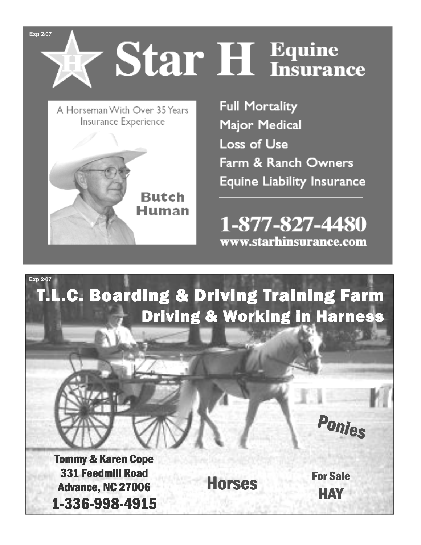Page 6 Whips And Wheels Driving Club **Exp 2/07** 

# Star H Equine

A Horseman With Over 35 Years Insurance Experience



**Full Mortality** Major Medical **Loss of Use** Farm & Ranch Owners **Equine Liability Insurance** 

1-877-827-4480 www.starhinsurance.com